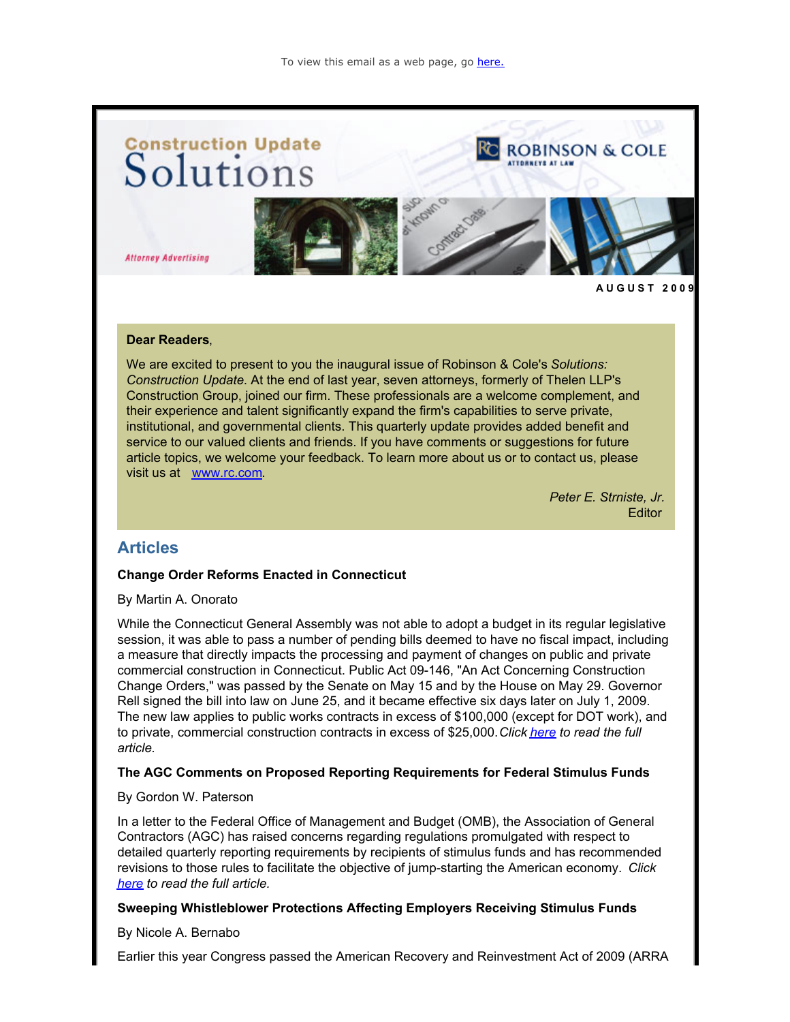

#### **Dear Readers**,

We are excited to present to you the inaugural issue of Robinson & Cole's *Solutions: Construction Update*. At the end of last year, seven attorneys, formerly of Thelen LLP's Construction Group, joined our firm. These professionals are a welcome complement, and their experience and talent significantly expand the firm's capabilities to serve private, institutional, and governmental clients. This quarterly update provides added benefit and service to our valued clients and friends. If you have comments or suggestions for future article topics, we welcome your feedback. To learn more about us or to contact us, please visit us at [www.rc.com](http://cl.exct.net/?ju=fe2916737c6606787d1576&ls=fdeb10747163027b7d177372&m=fefb1671756c0d&l=fe941573716d077a75&s=fe191d757d600c7a751376&jb=ffcf14&t=).

> *Peter E. Strniste, Jr.* **Editor**

# **Articles**

#### **Change Order Reforms Enacted in Connecticut**

By Martin A. Onorato

While the Connecticut General Assembly was not able to adopt a budget in its regular legislative session, it was able to pass a number of pending bills deemed to have no fiscal impact, including a measure that directly impacts the processing and payment of changes on public and private commercial construction in Connecticut. Public Act 09-146, "An Act Concerning Construction Change Orders," was passed by the Senate on May 15 and by the House on May 29. Governor Rell signed the bill into law on June 25, and it became effective six days later on July 1, 2009. The new law applies to public works contracts in excess of \$100,000 (except for DOT work), and to private, commercial construction contracts in excess of \$25,000. *Click [here](http://cl.exct.net/?ju=fe2816737c6606787d1577&ls=fdeb10747163027b7d177372&m=fefb1671756c0d&l=fe941573716d077a75&s=fe191d757d600c7a751376&jb=ffcf14&t=) to read the full article.*

#### **The AGC Comments on Proposed Reporting Requirements for Federal Stimulus Funds**

#### By Gordon W. Paterson

In a letter to the Federal Office of Management and Budget (OMB), the Association of General Contractors (AGC) has raised concerns regarding regulations promulgated with respect to detailed quarterly reporting requirements by recipients of stimulus funds and has recommended revisions to those rules to facilitate the objective of jump-starting the American economy. *Click [here](http://cl.exct.net/?ju=fe2716737c6606787d1578&ls=fdeb10747163027b7d177372&m=fefb1671756c0d&l=fe941573716d077a75&s=fe191d757d600c7a751376&jb=ffcf14&t=) to read the full article.*

#### **Sweeping Whistleblower Protections Affecting Employers Receiving Stimulus Funds**

By Nicole A. Bernabo

Earlier this year Congress passed the American Recovery and Reinvestment Act of 2009 (ARRA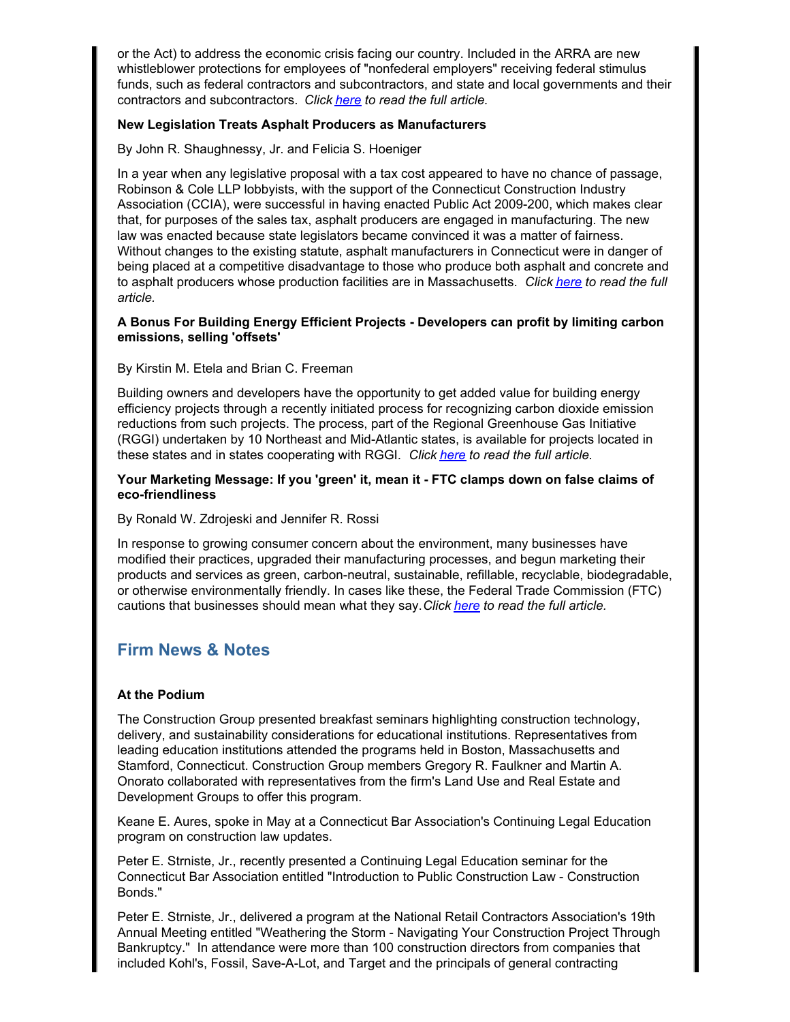or the Act) to address the economic crisis facing our country. Included in the ARRA are new whistleblower protections for employees of "nonfederal employers" receiving federal stimulus funds, such as federal contractors and subcontractors, and state and local governments and their contractors and subcontractors. *Click [here](http://cl.exct.net/?ju=fe2616737c6606787d1579&ls=fdeb10747163027b7d177372&m=fefb1671756c0d&l=fe941573716d077a75&s=fe191d757d600c7a751376&jb=ffcf14&t=) to read the full article.*

# **New Legislation Treats Asphalt Producers as Manufacturers**

By John R. Shaughnessy, Jr. and Felicia S. Hoeniger

In a year when any legislative proposal with a tax cost appeared to have no chance of passage, Robinson & Cole LLP lobbyists, with the support of the Connecticut Construction Industry Association (CCIA), were successful in having enacted Public Act 2009-200, which makes clear that, for purposes of the sales tax, asphalt producers are engaged in manufacturing. The new law was enacted because state legislators became convinced it was a matter of fairness. Without changes to the existing statute, asphalt manufacturers in Connecticut were in danger of being placed at a competitive disadvantage to those who produce both asphalt and concrete and to asphalt producers whose production facilities are in Massachusetts. *Click [here](http://cl.exct.net/?ju=fe2e16737c6606787d1670&ls=fdeb10747163027b7d177372&m=fefb1671756c0d&l=fe941573716d077a75&s=fe191d757d600c7a751376&jb=ffcf14&t=) to read the full article.*

#### **A Bonus For Building Energy Efficient Projects - Developers can profit by limiting carbon emissions, selling 'offsets'**

# By Kirstin M. Etela and Brian C. Freeman

Building owners and developers have the opportunity to get added value for building energy efficiency projects through a recently initiated process for recognizing carbon dioxide emission reductions from such projects. The process, part of the Regional Greenhouse Gas Initiative (RGGI) undertaken by 10 Northeast and Mid-Atlantic states, is available for projects located in these states and in states cooperating with RGGI. *Click [here](http://cl.exct.net/?ju=fe2d16737c6606787d1671&ls=fdeb10747163027b7d177372&m=fefb1671756c0d&l=fe941573716d077a75&s=fe191d757d600c7a751376&jb=ffcf14&t=) to read the full article.*

# **Your Marketing Message: If you 'green' it, mean it - FTC clamps down on false claims of eco-friendliness**

By Ronald W. Zdrojeski and Jennifer R. Rossi

In response to growing consumer concern about the environment, many businesses have modified their practices, upgraded their manufacturing processes, and begun marketing their products and services as green, carbon-neutral, sustainable, refillable, recyclable, biodegradable, or otherwise environmentally friendly. In cases like these, the Federal Trade Commission (FTC) cautions that businesses should mean what they say. *Click [here](http://cl.exct.net/?ju=fe2c16737c6606787d1672&ls=fdeb10747163027b7d177372&m=fefb1671756c0d&l=fe941573716d077a75&s=fe191d757d600c7a751376&jb=ffcf14&t=) to read the full article.*

# **Firm News & Notes**

# **At the Podium**

The Construction Group presented breakfast seminars highlighting construction technology, delivery, and sustainability considerations for educational institutions. Representatives from leading education institutions attended the programs held in Boston, Massachusetts and Stamford, Connecticut. Construction Group members Gregory R. Faulkner and Martin A. Onorato collaborated with representatives from the firm's Land Use and Real Estate and Development Groups to offer this program.

Keane E. Aures, spoke in May at a Connecticut Bar Association's Continuing Legal Education program on construction law updates.

Peter E. Strniste, Jr., recently presented a Continuing Legal Education seminar for the Connecticut Bar Association entitled "Introduction to Public Construction Law - Construction Bonds."

Peter E. Strniste, Jr., delivered a program at the National Retail Contractors Association's 19th Annual Meeting entitled "Weathering the Storm - Navigating Your Construction Project Through Bankruptcy." In attendance were more than 100 construction directors from companies that included Kohl's, Fossil, Save-A-Lot, and Target and the principals of general contracting